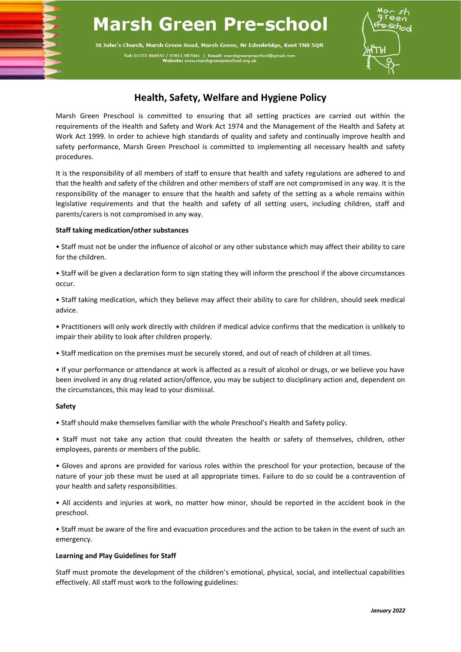# **Marsh Green Pre-school**

St John's Church, Marsh Green Road, Marsh Green, Nr Edenbridge, Kent TN8 5QR Tel: 01732 864553 / 07811 987041 | Email: marshgreenpre



## **Health, Safety, Welfare and Hygiene Policy**

Marsh Green Preschool is committed to ensuring that all setting practices are carried out within the requirements of the Health and Safety and Work Act 1974 and the Management of the Health and Safety at Work Act 1999. In order to achieve high standards of quality and safety and continually improve health and safety performance, Marsh Green Preschool is committed to implementing all necessary health and safety procedures.

It is the responsibility of all members of staff to ensure that health and safety regulations are adhered to and that the health and safety of the children and other members of staff are not compromised in any way. It is the responsibility of the manager to ensure that the health and safety of the setting as a whole remains within legislative requirements and that the health and safety of all setting users, including children, staff and parents/carers is not compromised in any way.

### **Staff taking medication/other substances**

• Staff must not be under the influence of alcohol or any other substance which may affect their ability to care for the children.

• Staff will be given a declaration form to sign stating they will inform the preschool if the above circumstances occur.

• Staff taking medication, which they believe may affect their ability to care for children, should seek medical advice.

• Practitioners will only work directly with children if medical advice confirms that the medication is unlikely to impair their ability to look after children properly.

• Staff medication on the premises must be securely stored, and out of reach of children at all times.

• If your performance or attendance at work is affected as a result of alcohol or drugs, or we believe you have been involved in any drug related action/offence, you may be subject to disciplinary action and, dependent on the circumstances, this may lead to your dismissal.

#### **Safety**

• Staff should make themselves familiar with the whole Preschool's Health and Safety policy.

• Staff must not take any action that could threaten the health or safety of themselves, children, other employees, parents or members of the public.

• Gloves and aprons are provided for various roles within the preschool for your protection, because of the nature of your job these must be used at all appropriate times. Failure to do so could be a contravention of your health and safety responsibilities.

• All accidents and injuries at work, no matter how minor, should be reported in the accident book in the preschool.

• Staff must be aware of the fire and evacuation procedures and the action to be taken in the event of such an emergency.

#### **Learning and Play Guidelines for Staff**

Staff must promote the development of the children's emotional, physical, social, and intellectual capabilities effectively. All staff must work to the following guidelines: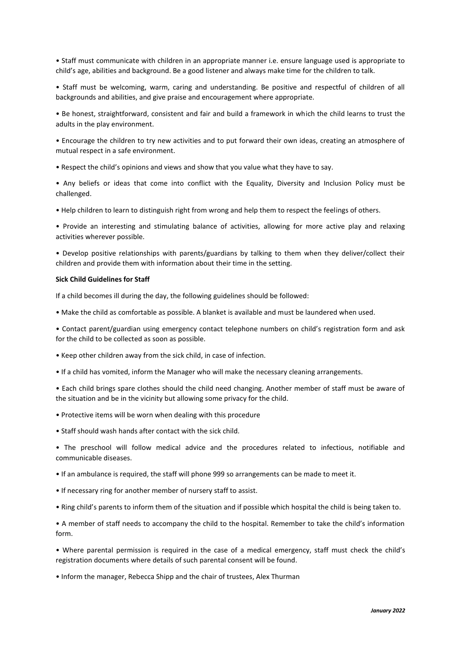• Staff must communicate with children in an appropriate manner i.e. ensure language used is appropriate to child's age, abilities and background. Be a good listener and always make time for the children to talk.

• Staff must be welcoming, warm, caring and understanding. Be positive and respectful of children of all backgrounds and abilities, and give praise and encouragement where appropriate.

• Be honest, straightforward, consistent and fair and build a framework in which the child learns to trust the adults in the play environment.

• Encourage the children to try new activities and to put forward their own ideas, creating an atmosphere of mutual respect in a safe environment.

• Respect the child's opinions and views and show that you value what they have to say.

• Any beliefs or ideas that come into conflict with the Equality, Diversity and Inclusion Policy must be challenged.

• Help children to learn to distinguish right from wrong and help them to respect the feelings of others.

• Provide an interesting and stimulating balance of activities, allowing for more active play and relaxing activities wherever possible.

• Develop positive relationships with parents/guardians by talking to them when they deliver/collect their children and provide them with information about their time in the setting.

#### **Sick Child Guidelines for Staff**

If a child becomes ill during the day, the following guidelines should be followed:

• Make the child as comfortable as possible. A blanket is available and must be laundered when used.

• Contact parent/guardian using emergency contact telephone numbers on child's registration form and ask for the child to be collected as soon as possible.

• Keep other children away from the sick child, in case of infection.

• If a child has vomited, inform the Manager who will make the necessary cleaning arrangements.

• Each child brings spare clothes should the child need changing. Another member of staff must be aware of the situation and be in the vicinity but allowing some privacy for the child.

• Protective items will be worn when dealing with this procedure

• Staff should wash hands after contact with the sick child.

• The preschool will follow medical advice and the procedures related to infectious, notifiable and communicable diseases.

• If an ambulance is required, the staff will phone 999 so arrangements can be made to meet it.

• If necessary ring for another member of nursery staff to assist.

• Ring child's parents to inform them of the situation and if possible which hospital the child is being taken to.

• A member of staff needs to accompany the child to the hospital. Remember to take the child's information form.

• Where parental permission is required in the case of a medical emergency, staff must check the child's registration documents where details of such parental consent will be found.

• Inform the manager, Rebecca Shipp and the chair of trustees, Alex Thurman